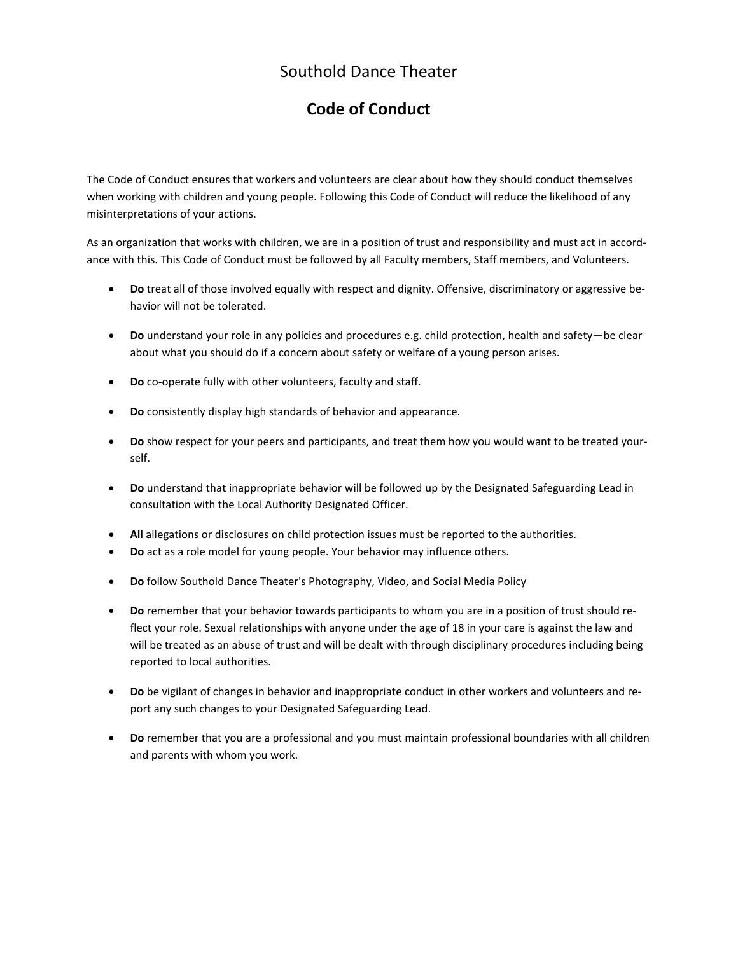## Southold Dance Theater

## **Code of Conduct**

The Code of Conduct ensures that workers and volunteers are clear about how they should conduct themselves when working with children and young people. Following this Code of Conduct will reduce the likelihood of any misinterpretations of your actions.

As an organization that works with children, we are in a position of trust and responsibility and must act in accordance with this. This Code of Conduct must be followed by all Faculty members, Staff members, and Volunteers.

- **Do** treat all of those involved equally with respect and dignity. Offensive, discriminatory or aggressive behavior will not be tolerated.
- **Do** understand your role in any policies and procedures e.g. child protection, health and safety—be clear about what you should do if a concern about safety or welfare of a young person arises.
- **Do** co-operate fully with other volunteers, faculty and staff.
- **Do** consistently display high standards of behavior and appearance.
- **Do** show respect for your peers and participants, and treat them how you would want to be treated yourself.
- **Do** understand that inappropriate behavior will be followed up by the Designated Safeguarding Lead in consultation with the Local Authority Designated Officer.
- **All** allegations or disclosures on child protection issues must be reported to the authorities.
- **Do** act as a role model for young people. Your behavior may influence others.
- **Do** follow Southold Dance Theater's Photography, Video, and Social Media Policy
- **Do** remember that your behavior towards participants to whom you are in a position of trust should reflect your role. Sexual relationships with anyone under the age of 18 in your care is against the law and will be treated as an abuse of trust and will be dealt with through disciplinary procedures including being reported to local authorities.
- **Do** be vigilant of changes in behavior and inappropriate conduct in other workers and volunteers and report any such changes to your Designated Safeguarding Lead.
- **Do** remember that you are a professional and you must maintain professional boundaries with all children and parents with whom you work.